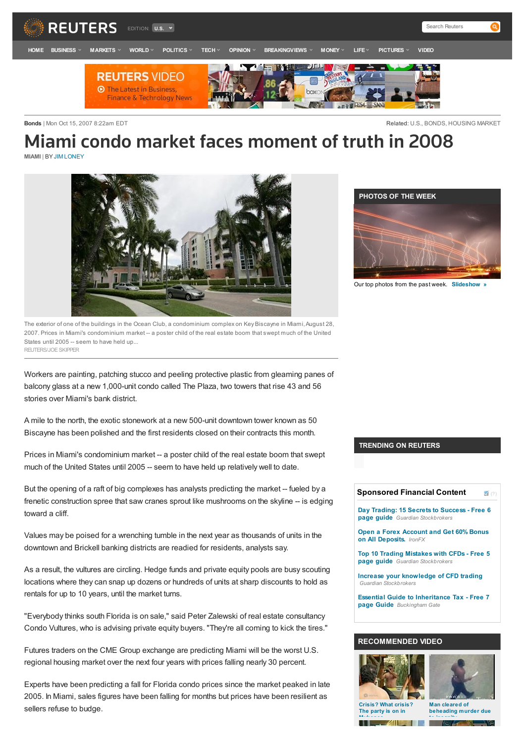

**Bonds** | Mon Oct 15, 2007 8:22am EDT **CONSERVITY CONSERVITY CONSERVITY CONSERVITY CONSERVITY CONSERVITY CONSERVITY** 

## Miami condo market faces moment of truth in 2008 **MIAMI** | BY JIM LONEY



The exterior of one of the buildings in the Ocean Club, a condominium complex on Key Biscayne in Miami, August 28, 2007. Prices in Miami's condominium market -- a poster child of the real estate boom that swept much of the United States until 2005 -- seem to have held up... REUTERS/JOESKIPPER

Workers are painting, patching stucco and peeling protective plastic from gleaming panes of balcony glass at a new 1,000-unit condo called The Plaza, two towers that rise 43 and 56 stories over Miami's bank district.

A mile to the north, the exotic stonework at a new 500-unit downtown tower known as 50 Biscayne has been polished and the first residents closed on their contracts this month.

Prices in Miami's condominium market -- a poster child of the real estate boom that swept much of the United States until 2005 -- seem to have held up relatively well to date.

But the opening of a raft of big complexes has analysts predicting the market -- fueled by a frenetic construction spree that saw cranes sprout like mushrooms on the skyline -- is edging toward a cliff.

Values may be poised for a wrenching tumble in the next year as thousands of units in the downtown and Brickell banking districts are readied for residents, analysts say.

As a result, the vultures are circling. Hedge funds and private equity pools are busy scouting locations where they can snap up dozens or hundreds of units at sharp discounts to hold as rentals for up to 10 years, until the market turns.

"Everybody thinks south Florida is on sale," said Peter Zalewski of real estate consultancy Condo Vultures, who is advising private equity buyers. "They're all coming to kick the tires."

Futures traders on the CME Group exchange are predicting Miami will be the worst U.S. regional housing market over the next four years with prices falling nearly 30 percent.

Experts have been predicting a fall for Florida condo prices since the market peaked in late 2005. In Miami, sales figures have been falling for months but prices have been resilient as sellers refuse to budge.



Our top photos from the past week. **Slideshow »**

#### **TRENDING ON REUTERS**

| <b>Sponsored Financial Content</b><br>(?)                                               |
|-----------------------------------------------------------------------------------------|
| Day Trading: 15 Secrets to Success - Free 6<br><b>page quide</b> Guardian Stockbrokers  |
| <b>Open a Forex Account and Get 60% Bonus</b><br>on All Deposits. IronFX                |
| Top 10 Trading Mistakes with CFDs - Free 5<br><b>page quide</b> Guardian Stockbrokers   |
| Increase your knowledge of CFD trading<br>Guardian Stockbrokers                         |
| <b>Essential Guide to Inheritance Tax - Free 7</b><br><b>page Guide</b> Buckingham Gate |
|                                                                                         |
| <b>RECOMMENDED VIDEO</b>                                                                |





**The party is on in Mykonos**

**Man cleared of beheading murder due to insanity**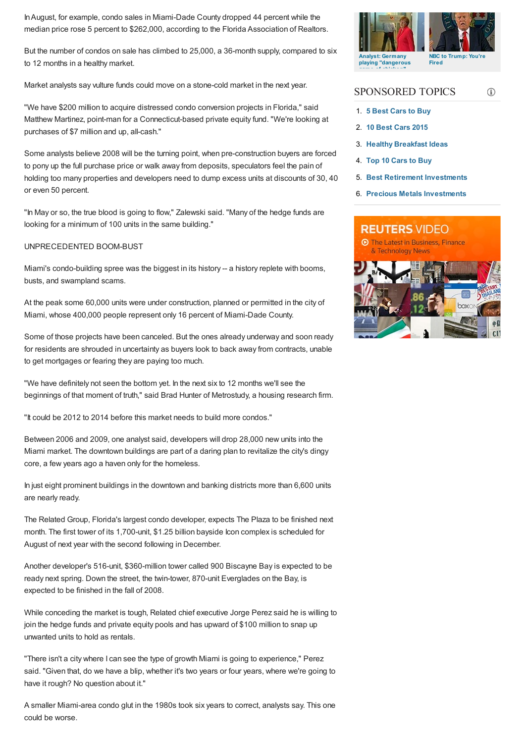InAugust, for example, condo sales in Miami-Dade County dropped 44 percent while the median price rose 5 percent to \$262,000, according to the Florida Association of Realtors.

But the number of condos on sale has climbed to 25,000, a 36-month supply, compared to six to 12 months in a healthy market.

Market analysts say vulture funds could move on a stone-cold market in the next year.

"We have \$200 million to acquire distressed condo conversion projects in Florida," said Matthew Martinez, point-man for a Connecticut-based private equity fund. "We're looking at purchases of \$7 million and up, all-cash."

Some analysts believe 2008 will be the turning point, when pre-construction buyers are forced to pony up the full purchase price or walk away from deposits, speculators feel the pain of holding too many properties and developers need to dump excess units at discounts of 30, 40 or even 50 percent.

"In May or so, the true blood is going to flow," Zalewski said. "Many of the hedge funds are looking for a minimum of 100 units in the same building."

## UNPRECEDENTED BOOM-BUST

Miami's condo-building spree was the biggest in its history -- a history replete with booms, busts, and swampland scams.

At the peak some 60,000 units were under construction, planned or permitted in the city of Miami, whose 400,000 people represent only 16 percent of Miami-Dade County.

Some of those projects have been canceled. But the ones already underway and soon ready for residents are shrouded in uncertainty as buyers look to back away from contracts, unable to get mortgages or fearing they are paying too much.

"We have definitely not seen the bottom yet. In the next six to 12 months we'll see the beginnings of that moment of truth," said Brad Hunter of Metrostudy, a housing research firm.

"It could be 2012 to 2014 before this market needs to build more condos."

Between 2006 and 2009, one analyst said, developers will drop 28,000 new units into the Miami market. The downtown buildings are part of a daring plan to revitalize the city's dingy core, a few years ago a haven only for the homeless.

In just eight prominent buildings in the downtown and banking districts more than 6,600 units are nearly ready.

The Related Group, Florida's largest condo developer, expects The Plaza to be finished next month. The first tower of its 1,700-unit, \$1.25 billion bayside Icon complex is scheduled for August of next year with the second following in December.

Another developer's 516-unit, \$360-million tower called 900 Biscayne Bay is expected to be ready next spring. Down the street, the twin-tower, 870-unit Everglades on the Bay, is expected to be finished in the fall of 2008.

While conceding the market is tough, Related chief executive Jorge Perez said he is willing to join the hedge funds and private equity pools and has upward of \$100 million to snap up unwanted units to hold as rentals.

"There isn't a city where I can see the type of growth Miami is going to experience," Perez said. "Given that, do we have a blip, whether it's two years or four years, where we're going to have it rough? No question about it."

A smaller Miami-area condo glut in the 1980s took six years to correct, analysts say. This one could be worse.



#### SPONSORED TOPICS  $\circ$

- 1. **5 Best Cars to Buy**
- 2. **10 Best Cars 2015**
- 3. **Healthy Breakfast Ideas**
- 4. **Top 10 Cars to Buy**
- 5. **Best Retirement Investments**
- 6. **Precious Metals Investments**

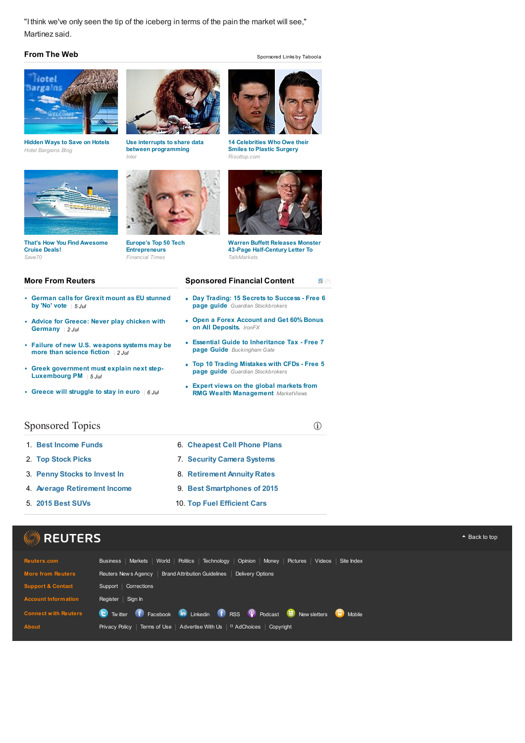"I think we've only seen the tip of the iceberg in terms of the pain the market will see," Martinez said.

## **From The Web** Sponsored Links by Taboola



*Hotel Bargains Blog*



**Hidden Ways to Save on Hotels Use interrupts to share data between programming**

**Entrepreneurs**



*Intel Risottop.com* **14 Celebrities Who Owe their Smiles to Plastic Surgery**



**Warren Buffett Releases Monster 43-Page Half-Century Letter To**

#### **Sponsored Financial Content**

- **Day Trading: 15 Secrets to Success - Free 6**
- **Open a Forex Account and Get 60% Bonus on All Deposits.** *IronFX*
- **Essential Guide to Inheritance Tax - Free 7 page Guide** *Buckingham Gate*
- **Top 10 Trading Mistakes with CFDs - Free 5**
- **Expert views on the global markets from RMG Wealth Management** *MarketViews*

6. **Cheapest Cell Phone Plans** 7. **Security Camera Systems** 8. **Retirement Annuity Rates** 9. **Best Smartphones of 2015** 10. **Top Fuel [Efficient](http://www.reuters.com/article/2015/07/05/us-eurozone-greece-eu-idUSKCN0PF11S20150705) Cars**

# **More From Reuters**

**That's How You Find Awesome**

**Cruise Deals!**

- **German calls for Grexit mount as EU stunned by 'No' vote** *| 5 Jul*
- $\ddot{\phantom{0}}$ **Advice for Greece: Never play chicken with Germany** *| 2 Jul*
- **Failure of new U.S. weapons systems may be more than science fiction** *| 2 Jul*
- $\bullet$ **Greek government must explain next step-Luxembourg PM** *| 5 Jul*
- **Greece will struggle to stay in euro** *| 6 Jul*



- 1. **Best Income Funds**
- 2. **Top Stock Picks**
- 3. **Penny Stocks to Invest In**
- 4. **Average Retirement Income**
- 5. **2015 Best SUVs**





#### $(2)$

- **page guide** *Guardian Stockbrokers*
- 
- 
- **page guide** *Guardian Stockbrokers*
- 

 $\odot$